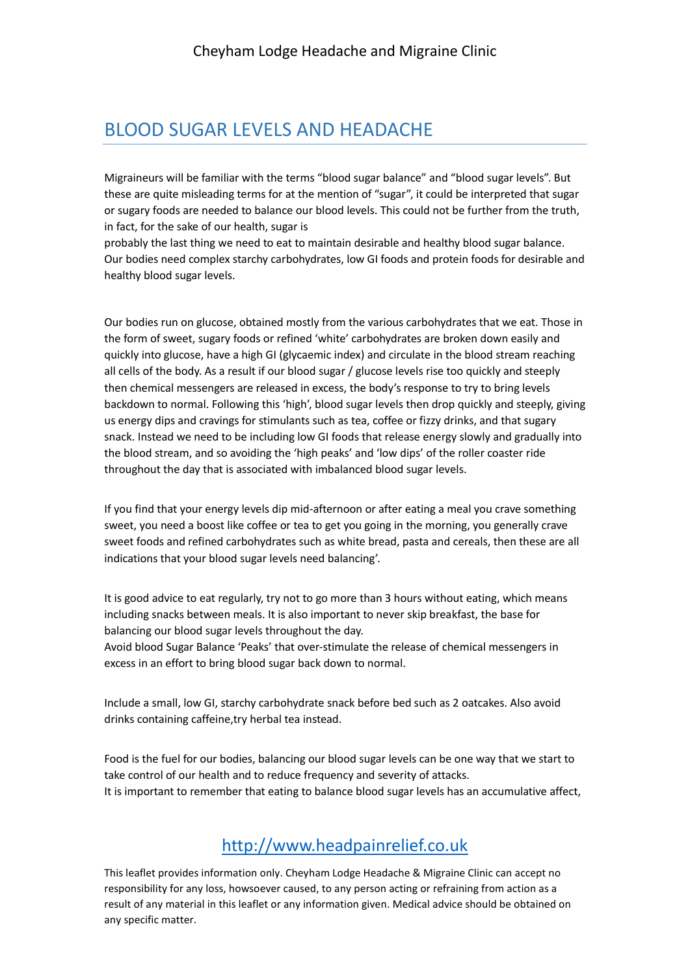## BLOOD SUGAR LEVELS AND HEADACHE

Migraineurs will be familiar with the terms "blood sugar balance" and "blood sugar levels". But these are quite misleading terms for at the mention of "sugar", it could be interpreted that sugar or sugary foods are needed to balance our blood levels. This could not be further from the truth, in fact, for the sake of our health, sugar is

probably the last thing we need to eat to maintain desirable and healthy blood sugar balance. Our bodies need complex starchy carbohydrates, low GI foods and protein foods for desirable and healthy blood sugar levels.

Our bodies run on glucose, obtained mostly from the various carbohydrates that we eat. Those in the form of sweet, sugary foods or refined 'white' carbohydrates are broken down easily and quickly into glucose, have a high GI (glycaemic index) and circulate in the blood stream reaching all cells of the body. As a result if our blood sugar / glucose levels rise too quickly and steeply then chemical messengers are released in excess, the body's response to try to bring levels backdown to normal. Following this 'high', blood sugar levels then drop quickly and steeply, giving us energy dips and cravings for stimulants such as tea, coffee or fizzy drinks, and that sugary snack. Instead we need to be including low GI foods that release energy slowly and gradually into the blood stream, and so avoiding the 'high peaks' and 'low dips' of the roller coaster ride throughout the day that is associated with imbalanced blood sugar levels.

If you find that your energy levels dip mid-afternoon or after eating a meal you crave something sweet, you need a boost like coffee or tea to get you going in the morning, you generally crave sweet foods and refined carbohydrates such as white bread, pasta and cereals, then these are all indications that your blood sugar levels need balancing'.

It is good advice to eat regularly, try not to go more than 3 hours without eating, which means including snacks between meals. It is also important to never skip breakfast, the base for balancing our blood sugar levels throughout the day.

Avoid blood Sugar Balance 'Peaks' that over-stimulate the release of chemical messengers in excess in an effort to bring blood sugar back down to normal.

Include a small, low GI, starchy carbohydrate snack before bed such as 2 oatcakes. Also avoid drinks containing caffeine,try herbal tea instead.

Food is the fuel for our bodies, balancing our blood sugar levels can be one way that we start to take control of our health and to reduce frequency and severity of attacks. It is important to remember that eating to balance blood sugar levels has an accumulative affect,

## http://www.headpainrelief.co.uk

This leaflet provides information only. Cheyham Lodge Headache & Migraine Clinic can accept no responsibility for any loss, howsoever caused, to any person acting or refraining from action as a result of any material in this leaflet or any information given. Medical advice should be obtained on any specific matter.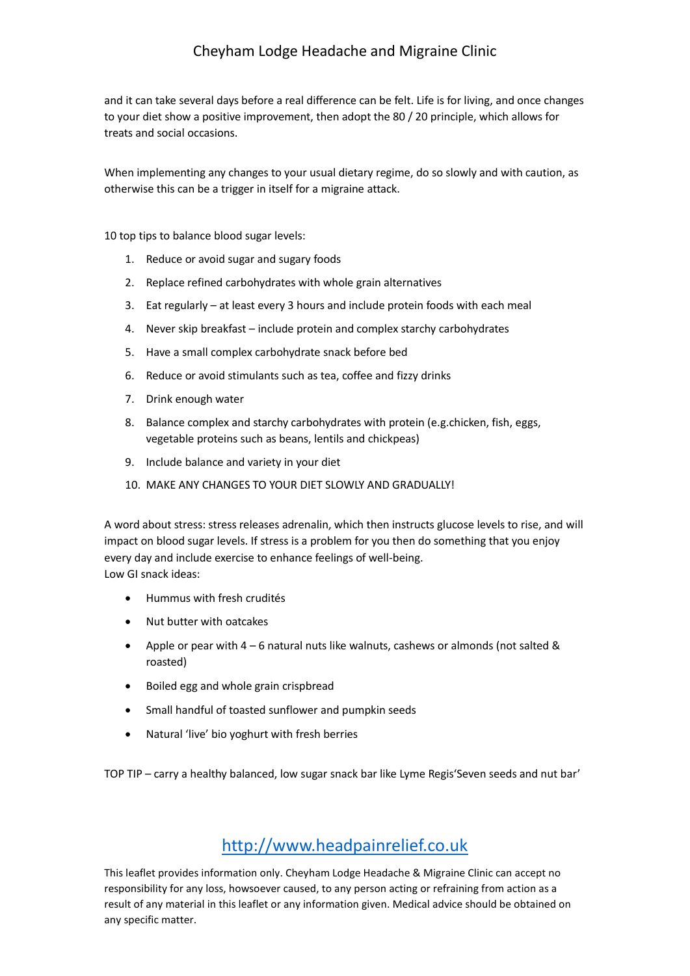and it can take several days before a real difference can be felt. Life is for living, and once changes to your diet show a positive improvement, then adopt the 80 / 20 principle, which allows for treats and social occasions.

When implementing any changes to your usual dietary regime, do so slowly and with caution, as otherwise this can be a trigger in itself for a migraine attack.

10 top tips to balance blood sugar levels:

- 1. Reduce or avoid sugar and sugary foods
- 2. Replace refined carbohydrates with whole grain alternatives
- 3. Eat regularly at least every 3 hours and include protein foods with each meal
- 4. Never skip breakfast include protein and complex starchy carbohydrates
- 5. Have a small complex carbohydrate snack before bed
- 6. Reduce or avoid stimulants such as tea, coffee and fizzy drinks
- 7. Drink enough water
- 8. Balance complex and starchy carbohydrates with protein (e.g.chicken, fish, eggs, vegetable proteins such as beans, lentils and chickpeas)
- 9. Include balance and variety in your diet
- 10. MAKE ANY CHANGES TO YOUR DIET SLOWLY AND GRADUALLY!

A word about stress: stress releases adrenalin, which then instructs glucose levels to rise, and will impact on blood sugar levels. If stress is a problem for you then do something that you enjoy every day and include exercise to enhance feelings of well-being. Low GI snack ideas:

- Hummus with fresh crudités
- Nut butter with oatcakes
- Apple or pear with  $4 6$  natural nuts like walnuts, cashews or almonds (not salted & roasted)
- Boiled egg and whole grain crispbread
- Small handful of toasted sunflower and pumpkin seeds
- Natural 'live' bio yoghurt with fresh berries

TOP TIP – carry a healthy balanced, low sugar snack bar like Lyme Regis'Seven seeds and nut bar'

## http://www.headpainrelief.co.uk

This leaflet provides information only. Cheyham Lodge Headache & Migraine Clinic can accept no responsibility for any loss, howsoever caused, to any person acting or refraining from action as a result of any material in this leaflet or any information given. Medical advice should be obtained on any specific matter.